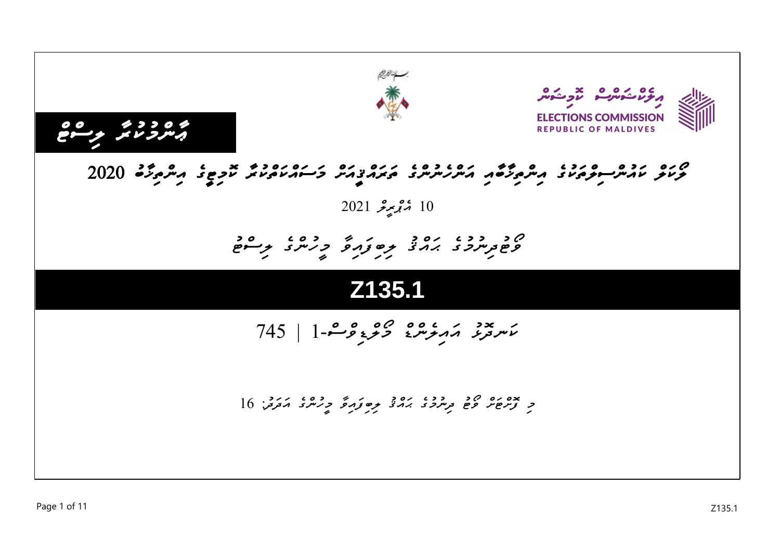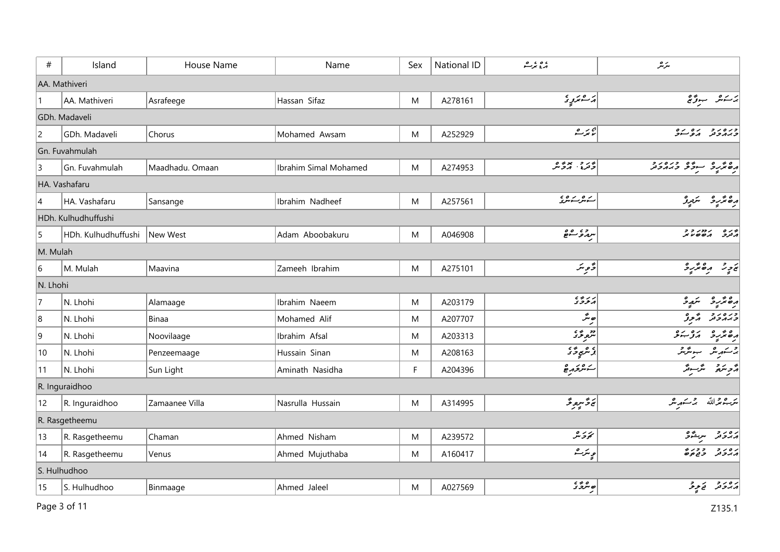| $\#$           | Island              | House Name      | Name                  | Sex       | National ID | ، ه ، بر <u>م</u>                     | ىئرىتر                        |
|----------------|---------------------|-----------------|-----------------------|-----------|-------------|---------------------------------------|-------------------------------|
|                | AA. Mathiveri       |                 |                       |           |             |                                       |                               |
|                | AA. Mathiveri       | Asrafeege       | Hassan Sifaz          | ${\sf M}$ | A278161     | ىز س <sup>ە</sup> ئىزى <sub>ر</sub> ئ | پرسەشەر سوزىج                 |
|                | GDh. Madaveli       |                 |                       |           |             |                                       |                               |
| 2              | GDh. Madaveli       | Chorus          | Mohamed Awsam         | ${\sf M}$ | A252929     | تزيره                                 | כנסנכ נסנים                   |
|                | Gn. Fuvahmulah      |                 |                       |           |             |                                       |                               |
| 3              | Gn. Fuvahmulah      | Maadhadu. Omaan | Ibrahim Simal Mohamed | ${\sf M}$ | A274953     | په د د به په م                        | دە ئەروكسوچى دىرەرد           |
|                | HA. Vashafaru       |                 |                       |           |             |                                       |                               |
| $\overline{4}$ | HA. Vashafaru       | Sansange        | Ibrahim Nadheef       | M         | A257561     | ئەنەر <i>شەھ</i> رى                   | رەپزېر تىر                    |
|                | HDh. Kulhudhuffushi |                 |                       |           |             |                                       |                               |
| 5              | HDh. Kulhudhuffushi | New West        | Adam Aboobakuru       | ${\sf M}$ | A046908     | سردي ڪيھ                              | מנס נחנים<br>גצגם גםסטיב      |
| M. Mulah       |                     |                 |                       |           |             |                                       |                               |
| 6              | M. Mulah            | Maavina         | Zameeh Ibrahim        | M         | A275101     | د گھر مگر<br>حس                       | جَ جِرْ مِنْ مِنْ مِنْ جِ     |
| N. Lhohi       |                     |                 |                       |           |             |                                       |                               |
| $\overline{7}$ | N. Lhohi            | Alamaage        | Ibrahim Naeem         | ${\sf M}$ | A203179     | پر پڑی                                | رە ئرىر ئىمر                  |
| 8              | N. Lhohi            | Binaa           | Mohamed Alif          | M         | A207707     | ھىتر                                  |                               |
| 9              | N. Lhohi            | Noovilaage      | Ibrahim Afsal         | M         | A203313     | دد د ،<br>سره څر                      |                               |
| $ 10\rangle$   | N. Lhohi            | Penzeemaage     | Hussain Sinan         | M         | A208163     | وعيومي                                | ر<br>رئیس سوسر                |
| 11             | N. Lhohi            | Sun Light       | Aminath Nasidha       | F         | A204396     | سە ئىر ئىر ھ                          | ۇ بەر ئەسىر                   |
|                | R. Inguraidhoo      |                 |                       |           |             |                                       |                               |
| 12             | R. Inguraidhoo      | Zamaanee Villa  | Nasrulla Hussain      | M         | A314995     | ئۇ ئەسمەر ئە                          | ىربە براللە برىكەر بر         |
|                | R. Rasgetheemu      |                 |                       |           |             |                                       |                               |
| 13             | R. Rasgetheemu      | Chaman          | Ahmed Nisham          | ${\sf M}$ | A239572     | ىمەر ھ                                | دەرو سرېشى                    |
| 14             | R. Rasgetheemu      | Venus           | Ahmed Mujuthaba       | ${\sf M}$ | A160417     | امٍ يَرَبَّهِ                         | י סיכון פריק<br>גיליקי הפיסים |
|                | S. Hulhudhoo        |                 |                       |           |             |                                       |                               |
| 15             | S. Hulhudhoo        | Binmaage        | Ahmed Jaleel          | ${\sf M}$ | A027569     | ە پە دى<br>ھەنزىرى                    | درور ق پایی                   |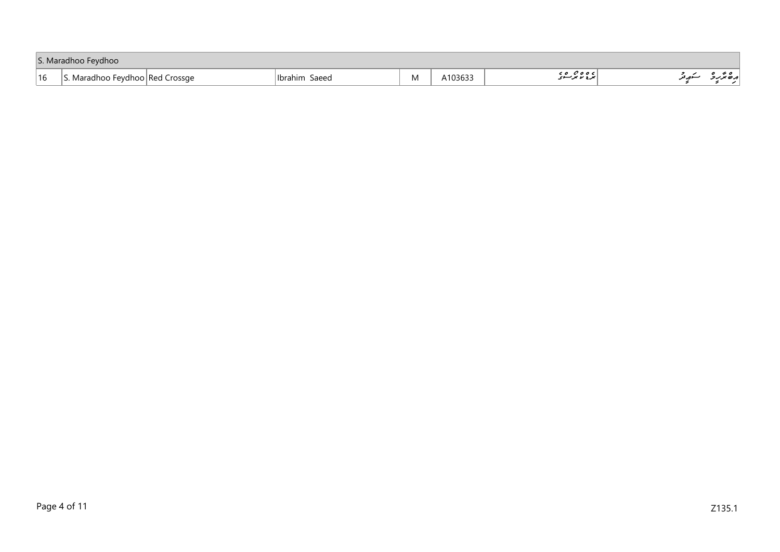|    | S. Maradhoo Feydhoo                        |  |                |   |         |                |                          |
|----|--------------------------------------------|--|----------------|---|---------|----------------|--------------------------|
| 16 | Iaradhoo Feydhoo   Red Crossge<br>iaradhoo |  | Ilbrahim Saeed | M | 4103633 | پره مړه مړه پر | $\sim$ 0<br>フンメめオ<br>ה - |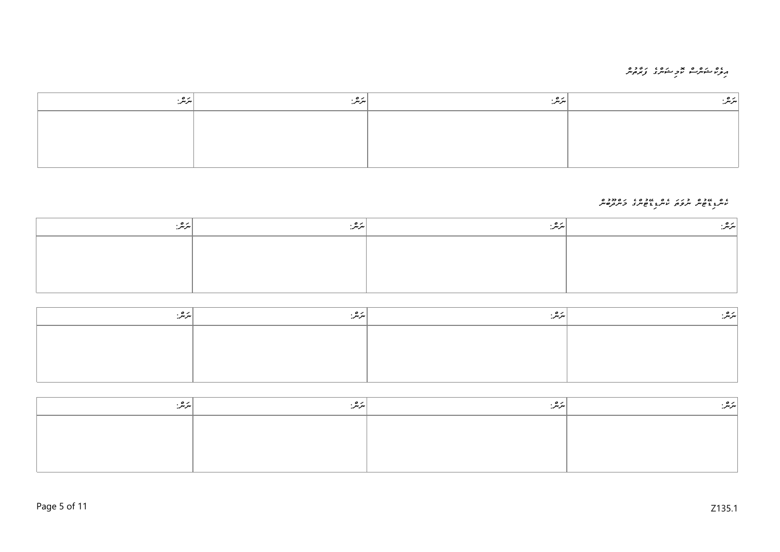## *w7qAn8m?sCw7mRo>u;wEw7mRw;sBo<*

| ' مرمر | 'يئرىثر: |
|--------|----------|
|        |          |
|        |          |
|        |          |

## w*99907 c99u 02 y990 c9000*<br>מית 29 gam=y*7gram*<br>ק

| بر ه | ىر مىر |  |
|------|--------|--|
|      |        |  |
|      |        |  |
|      |        |  |

| $\frac{2}{n}$ | $\overline{\phantom{a}}$ | اير هنه. | $\mathcal{O} \times$<br>سرسر |
|---------------|--------------------------|----------|------------------------------|
|               |                          |          |                              |
|               |                          |          |                              |
|               |                          |          |                              |

| ' ئىرتىر: | سر سر |  |
|-----------|-------|--|
|           |       |  |
|           |       |  |
|           |       |  |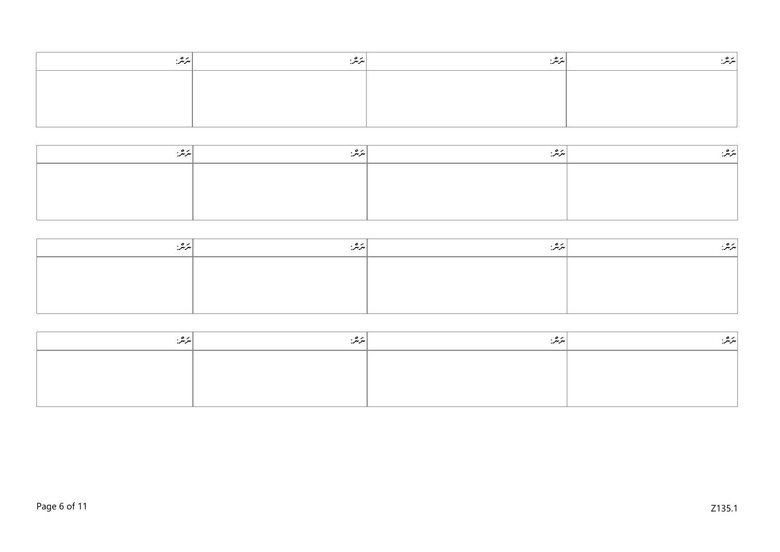| يزهر | $^{\circ}$ | ىئرىتر: |  |
|------|------------|---------|--|
|      |            |         |  |
|      |            |         |  |
|      |            |         |  |

| <sup>.</sup> سرسر. |  |
|--------------------|--|
|                    |  |
|                    |  |
|                    |  |

| ىئرىتر. | $\sim$ | ا بر هه. | لىرىش |
|---------|--------|----------|-------|
|         |        |          |       |
|         |        |          |       |
|         |        |          |       |

| يترمثر | $^{\circ}$ | ىر پىر |
|--------|------------|--------|
|        |            |        |
|        |            |        |
|        |            |        |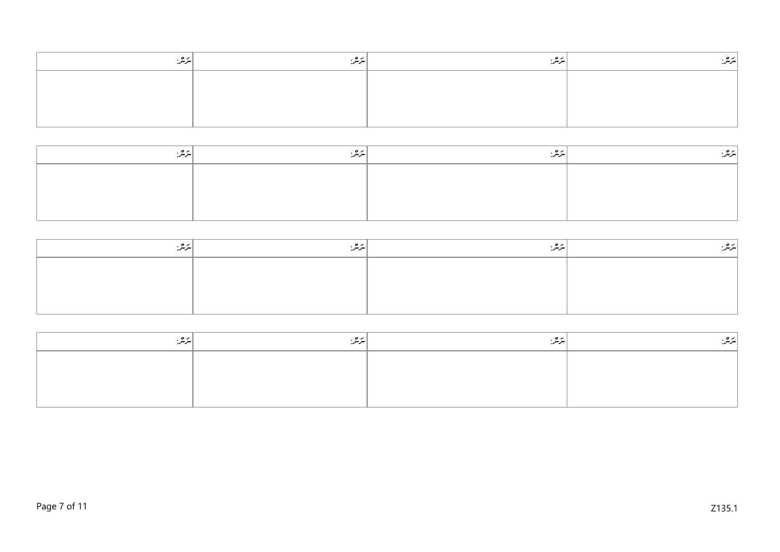| ير هو . | $\overline{\phantom{a}}$ | يرمر | اير هنه. |
|---------|--------------------------|------|----------|
|         |                          |      |          |
|         |                          |      |          |
|         |                          |      |          |

| ىبرىر. | $\sim$<br>ا سرسر . | يئرمثر | o . |
|--------|--------------------|--------|-----|
|        |                    |        |     |
|        |                    |        |     |
|        |                    |        |     |

| 'تترنثر: | . .<br>يسمونس. |  |
|----------|----------------|--|
|          |                |  |
|          |                |  |
|          |                |  |

|  | . ه |
|--|-----|
|  |     |
|  |     |
|  |     |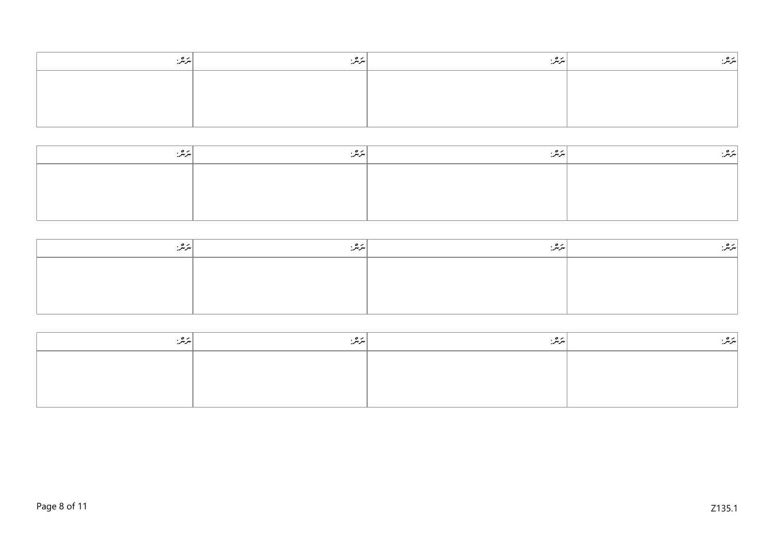| ير هو . | $\overline{\phantom{a}}$ | يرمر | اير هنه. |
|---------|--------------------------|------|----------|
|         |                          |      |          |
|         |                          |      |          |
|         |                          |      |          |

| ىبرىر. | $\sim$<br>ا سرسر . | يئرمثر | o . |
|--------|--------------------|--------|-----|
|        |                    |        |     |
|        |                    |        |     |
|        |                    |        |     |

| انترنثر: | ر ه |  |
|----------|-----|--|
|          |     |  |
|          |     |  |
|          |     |  |

|  | . ه |
|--|-----|
|  |     |
|  |     |
|  |     |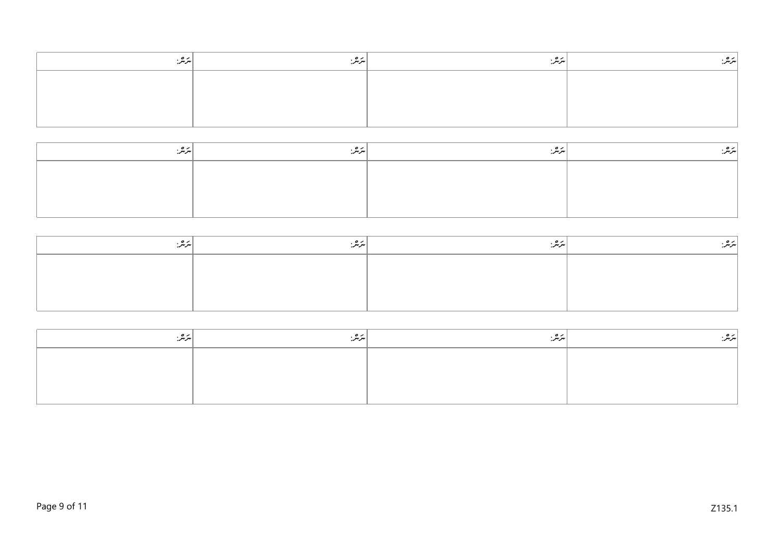| $\cdot$ | 。 | $\frac{\circ}{\cdot}$ | $\sim$<br>سرسر |
|---------|---|-----------------------|----------------|
|         |   |                       |                |
|         |   |                       |                |
|         |   |                       |                |

| ايرعر: | ر ه<br>. . |  |
|--------|------------|--|
|        |            |  |
|        |            |  |
|        |            |  |

| بر ه | 。 | $\sim$<br>َ سومس. |  |
|------|---|-------------------|--|
|      |   |                   |  |
|      |   |                   |  |
|      |   |                   |  |

| 。<br>. س | ىرىىر |  |
|----------|-------|--|
|          |       |  |
|          |       |  |
|          |       |  |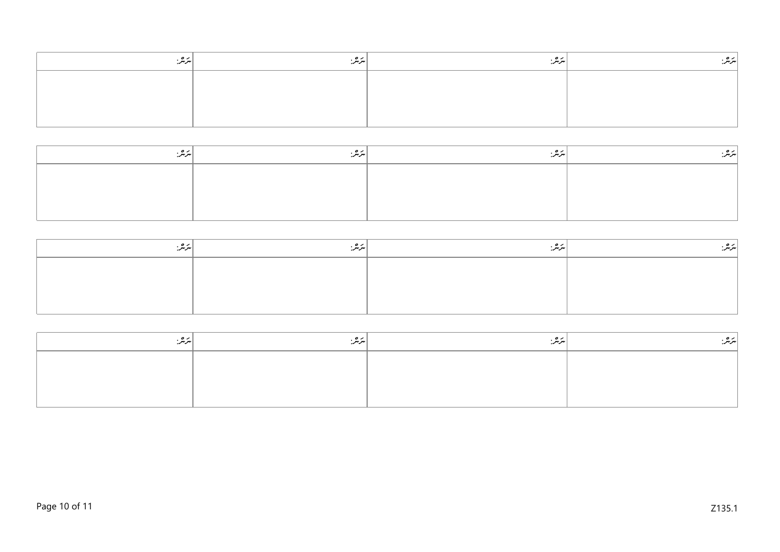| ير هو . | $\overline{\phantom{a}}$ | يرمر | اير هنه. |
|---------|--------------------------|------|----------|
|         |                          |      |          |
|         |                          |      |          |
|         |                          |      |          |

| ىبرىر. | $\sim$<br>ا سرسر . | يئرمثر | o . |
|--------|--------------------|--------|-----|
|        |                    |        |     |
|        |                    |        |     |
|        |                    |        |     |

| كترنثر: | 。 | 。<br>سرسر. | o <i>~</i> |
|---------|---|------------|------------|
|         |   |            |            |
|         |   |            |            |
|         |   |            |            |

|  | . ه |
|--|-----|
|  |     |
|  |     |
|  |     |